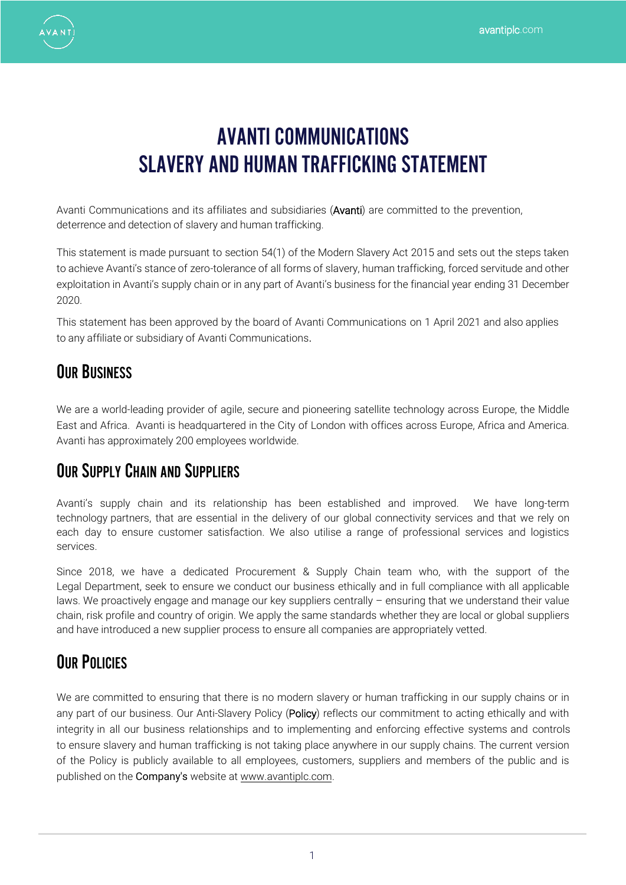

# AVANTI COMMUNICATIONS SLAVERY AND HUMAN TRAFFICKING STATEMENT

Avanti Communications and its affiliates and subsidiaries (Avanti) are committed to the prevention, deterrence and detection of slavery and human trafficking.

This statement is made pursuant to section 54(1) of the Modern Slavery Act 2015 and sets out the steps taken to achieve Avanti's stance of zero-tolerance of all forms of slavery, human trafficking, forced servitude and other exploitation in Avanti's supply chain or in any part of Avanti's business for the financial year ending 31 December 2020.

This statement has been approved by the board of Avanti Communications on 1 April 2021 and also applies to any affiliate or subsidiary of Avanti Communications.

# **OUR BUSINESS**

We are a world-leading provider of agile, secure and pioneering satellite technology across Europe, the Middle East and Africa. Avanti is headquartered in the City of London with offices across Europe, Africa and America. Avanti has approximately 200 employees worldwide.

## **OUR SUPPLY CHAIN AND SUPPLIERS**

Avanti's supply chain and its relationship has been established and improved. We have long-term technology partners, that are essential in the delivery of our global connectivity services and that we rely on each day to ensure customer satisfaction. We also utilise a range of professional services and logistics services.

Since 2018, we have a dedicated Procurement & Supply Chain team who, with the support of the Legal Department, seek to ensure we conduct our business ethically and in full compliance with all applicable laws. We proactively engage and manage our key suppliers centrally – ensuring that we understand their value chain, risk profile and country of origin. We apply the same standards whether they are local or global suppliers and have introduced a new supplier process to ensure all companies are appropriately vetted.

# **OUR POLICIES**

We are committed to ensuring that there is no modern slavery or human trafficking in our supply chains or in any part of our business. Our Anti-Slavery Policy (Policy) reflects our commitment to acting ethically and with integrity in all our business relationships and to implementing and enforcing effective systems and controls to ensure slavery and human trafficking is not taking place anywhere in our supply chains. The current version of the Policy is p[ublicly available to al](http://www.avantiplc.com/)l employees, customers, suppliers and members of the public and is published on the Company's website at www.avantiplc.com.